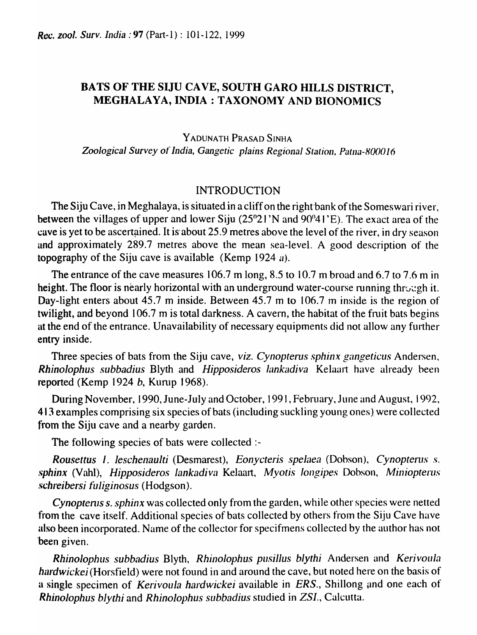# BATS OF THE SIJU CAVE, SOUTH GARO HILLS DISTRICT, MEGHALAYA, INDIA: TAXONOMY AND BIONOMICS

YADUNATH PRASAD SINHA Zoological Survey of *India, Gangetic plains Regional Station, Patna-800016* 

### INTRODUCTION

The Siju Cave, in Meghalaya, is situated in a cliff on the right-bank of the Someswari river, between the villages of upper and lower Siju (25°21 'N and 90°41 'E). The exact area of the cave is yet to be ascertained. It is about 25.9 metres above the level of the river, in dry season and approximately 289.7 metres above the mean sea-level. A good description of the topography of the Siju cave is available (Kemp 1924 *el).* 

The entrance of the cave measures 106.7 m long, 8.5 to 10.7 m broad and 6.7 to 7.6 m in height. The floor is nearly horizontal with an underground water-course running through it. Day-light enters about 45.7 m inside. Between 45.7 m to 106.7 m inside is the region of twilight, and beyond 106.7 m is total darkness. A cavern, the habitat of the fruit bats begins at the end of the entrance. Unavailability of necessary equipments did not allow any further entry inside.

Three species of bats from the Siju cave, *viz. Cynopterus sphinx gangeticlls* Andersen, **Rhinolophus subbadius Blyth and** *Hipposideros lankadiva* **Kelaart have already been** reported (Kemp 1924 b, Kurup 1968).

During November, 1990, June-July and October, 1991, February, June and August, 1992, 413 examples comprising six species of bats (including suckling young ones). were collected from the Siju cave and a nearby garden.

The following species of bats were collected:-

*Rousettus 1. leschenaulti (Desmarest), Eonycteris spelaea (Dobson), Cynopterus s. sphinx* (Vahl), *Hipposideros lankadiva* Kelaart, *Myotis longipes* Dobson, *Miniopterus .-;chreibersi fuliginosus* (Hodgson).

*Cynoptenls* s. *sphinx* was collected only from the garden, while other species were netted from the cave itself. Additional species of bats collected by others from the Siju Cave have also been incorporated. Name of the collector for specifmens collected by the author has not 'been given.

*Rhinolophus subbadius* Blyth, *Rhinolophus pusillus bJythi* Andersen and *KerivouJa hardwickei* (Horsfield) were not found in and around the cave, but noted here on the basis of a single specimen of *Kerivoula hardwickei* available in *ERS*., Shillong and one each of *Rhinolophus blythi* and *Rhinolophus sllbbadius* studied in *ZSl.,* Calcutta.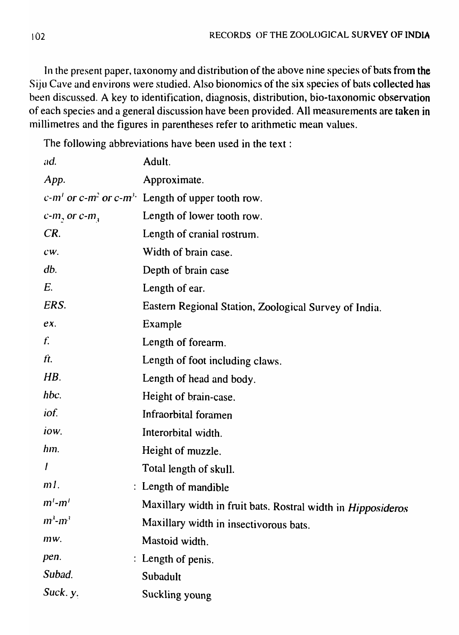In the present paper, taxonomy and distribution of the above nine species of bats from the Siju Cave and environs were studied. Also bionomics of the six species of bats collected has been discussed. A key to identification, diagnosis, distribution, bio-taxonomic observation of each species and a general discussion have been provided. All measurements are taken in millimetres and the figures in parentheses refer to arithmetic mean values.

The following abbreviations have been used in the text:

| ad.                        | Adult.                                                                       |
|----------------------------|------------------------------------------------------------------------------|
| App.                       | Approximate.                                                                 |
|                            | $c$ -m' or c-m <sup>2</sup> or c-m <sup>3</sup> . Length of upper tooth row. |
| $c$ - $m$ , or $c$ - $m$ , | Length of lower tooth row.                                                   |
| CR.                        | Length of cranial rostrum.                                                   |
| $CW$ .                     | Width of brain case.                                                         |
| db.                        | Depth of brain case                                                          |
| E.                         | Length of ear.                                                               |
| ERS.                       | Eastern Regional Station, Zoological Survey of India.                        |
| $eX$ .                     | Example                                                                      |
| f.                         | Length of forearm.                                                           |
| ft.                        | Length of foot including claws.                                              |
| $H\mathcal{B}.$            | Length of head and body.                                                     |
| hbc.                       | Height of brain-case.                                                        |
| <i>iof.</i>                | Infraorbital foramen                                                         |
| iow.                       | Interorbital width.                                                          |
| hm.                        | Height of muzzle.                                                            |
|                            | Total length of skull.                                                       |
| $m$ .                      | : Length of mandible                                                         |
| $m'-m'$                    | Maxillary width in fruit bats. Rostral width in <i>Hipposideros</i>          |
| $m^3$ - $m^3$              | Maxillary width in insectivorous bats.                                       |
| mw.                        | Mastoid width.                                                               |
| pen.                       | : Length of penis.                                                           |
| Subad.                     | Subadult                                                                     |
| Suck. y.                   | Suckling young                                                               |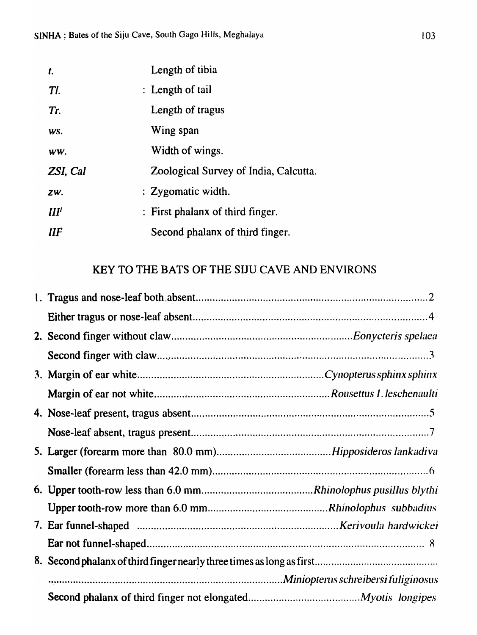| $\mathbf{r}$ | Length of tibia                       |
|--------------|---------------------------------------|
| TI.          | : Length of tail                      |
| Tr.          | Length of tragus                      |
| WS.          | Wing span                             |
| WW.          | Width of wings.                       |
| ZSI, Cal     | Zoological Survey of India, Calcutta. |
| ZW.          | : Zygomatic width.                    |
| III'         | : First phalanx of third finger.      |
| $I\!I\!I$    | Second phalanx of third finger.       |

# KEY TO THE BATS OF THE SIJU CAVE AND ENVIRONS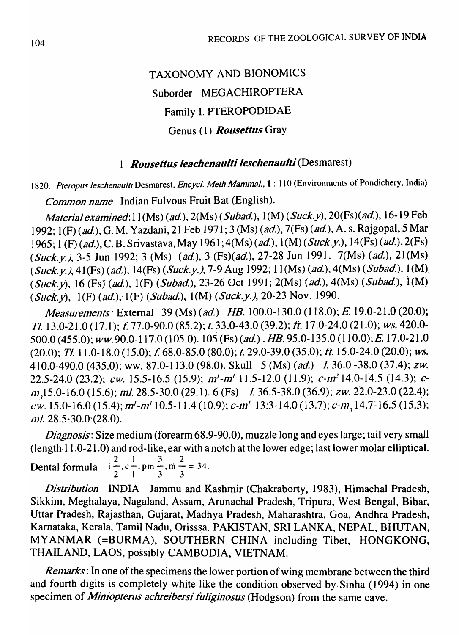# TAXONOMY AND BIONOMICS Suborder MEGACHIROPTERA Family I. PTEROPODIDAE Genus (1) *Rousellus* Gray

# *1 Rousellus leachenaulli leschenaulli* (Desmarest)

1820. *Pteropus leschenaulti* Desmarest, *Encycl. Meth Mammal.*, 1:110 (Environments of Pondichery, India)

Common name Indian Fulvous Fruit Bat (English).

Material examined:  $11(Ms)$  (ad.),  $2(Ms)$  (Subad.),  $1(M)$  (Suck.y),  $20(Fs)$  (ad.), 16-19 Feb 1992; 1(F) (ad.), G. M. Yazdani, 21 Feb 1971; 3 (Ms) (ad.), 7(Fs) (ad.), A. s. Rajgopal, 5 Mar 1965; 1 (F) (ad.), C. B. Srivastava, May 1961; 4(Ms) (ad.), 1(M) (Suck.y.), 14(Fs) (ad.), 2(Fs) (Suck.y.), 3-5 Jun 1992; 3 (Ms) (ad.), 3 (Fs)(ad.), 27-28 Jun 1991, 7(Ms) (ad.), 21(Ms) (Suck.y.), 41(Fs) (ad.), 14(Fs) (Suck.y.), 7-9 Aug 1992; 11(Ms) (ad.), 4(Ms) (Subad.), 1(M) (Suck.y), 16 (Fs) (ad.), 1(F) (Subad.), 23-26 Oct 1991; 2(Ms) (ad.), 4(Ms) (Subad.), 1(M) (Suck.y),  $1(F)$  (ad.),  $1(F)$  (Subad.),  $1(M)$  (Suck.y.), 20-23 Nov. 1990.

Measurements' External 39 (Ms) (ad.) *HB.* 100.0-130.0 (118.0); E. 19.0-21.0 (20:0); TI. 13.0-21.0 (17.1); *t:* 77.0-90.0 (85.2); *t.* 33.0-43.0 (39.2); It. 17.0-24.0 (21.0); ws.420.0- 500.0(455.0); ww.90.0-117.0(105.0).105(Fs)(ad.) .HB. 95.0-135.0(110.0);£ 17.0-21.0 (20.0); TI. 11.0-18.0 (15.0); f. 68.0-85.0 (80.0); t. 29.0-39.0 (35.0); ft. 15.0-24.0 (20.0); ws. 410.0-490.0 (435.0); ww. 87.0-113.0 (98.0). Skull 5 (Ms) (ad.) 1. 36.0 -38.0 (37.4); zw. 22.5-24.0 (23.2); *cw.* 15.5-16.5 (15.9);  $m'$ - $m'$  11.5-12.0 (11.9); *c-nr*<sup>2</sup> 14.0-14.5 (14.3); *c*-/11.) 5.0-16.0 (15.6); mi. 28.5-30.0 (29.1).6 (Fs) I 36.5-38.0 (36.9); *ZW.* 22.0-23.0 (22.4); *cw.* 15.0-16.0 (15.4); m'-m' 10.5-11.4 (10.9); c-m' 13:3-14.0 (13.7); c-m, 14.7-16.5 (15.3); /111. 28.5~30.0'(28.0).

Diagnosis: Size medium (forearm 68.9-90.0), muzzle long and eyes large; tail very small (length· 1 1.0-21.0) and rod-like, ear with a notch at the lower edge; last lower molar elliptical. and rod-like, ear v<br>2  $\frac{1}{2}$   $\frac{3}{2}$   $\frac{2}{2}$ Dental formula  $i = 0, c-$ , pm $\frac{3}{2}$ , m $\frac{2}{3}$  = 34. 2 1 3 3

Distribution INDIA Jammu and Kashmir (Chakraborty, 1983), Himachal Pradesh, Sikkim, Meghalaya, Nagaland, Assam, Arunachal Pradesh, Tripura, West Bengal, Bihar, Uttar Pradesh, Rajasthan, Gujarat, Madhya Pradesh, Maharashtra, Goa, Andhra Pradesh, Karnataka, Kerala, Tamil Nadu, Orisssa. PAKISTAN, SRI LANKA, NEPAL, BHUTAN, MYANMAR (=BURMA), SOUTHERN CHINA including Tibet, HONGKONG, THAILAND, LAOS, possibly CAMBODIA, VIETNAM.

Remarks: In one of the specimens the lower portion of wing membrane between the third and fourth digits is completely white like the condition observed by. Sinha (1994) in one specimen of *Miniopterus achreibersi fuliginosus* (Hodgson) from the same cave.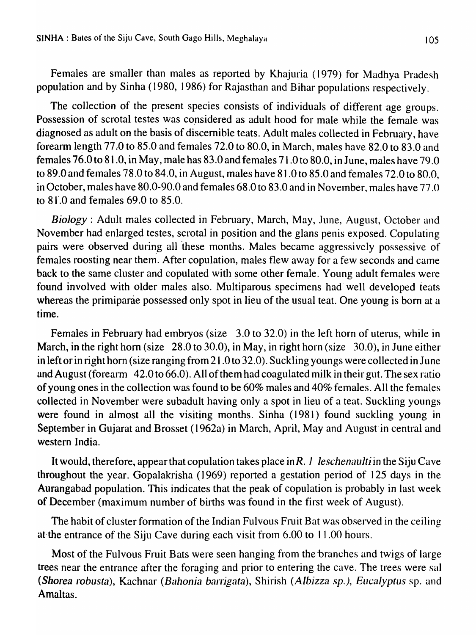Females are smaller than males as reported by Khajuria (1979) for Madhya Pradesh population and by Sinha (1980, 1986) for Rajasthan and Bihar populations respectively.

The collection of the present species consists of individuals of different age groups. Possession of scrotal testes was considered as adult hood for male while the female was diagnosed as adult on the basis of discernible teats. Adult males collected in February, have forearm length  $77.0$  to  $85.0$  and females  $72.0$  to  $80.0$ , in March, males have  $82.0$  to  $83.0$  and females 76.0 to 81.0, in May, male has 83.0 and females 71.0 to 80.0, in June, males have 79.0 to 8'9.0 and females 78.0 to 84.0, in August, males have 81.0 to 85.0 and females 72.0 to 80.0, in October, males have  $80.0 - 90.0$  and females  $68.0$  to  $83.0$  and in November, males have  $77.0$ to  $81.0$  and females 69.0 to  $85.0$ .

*Biology*: Adult males collected in February, March, May, June, August, October and November had enlarged testes, scrotal in position and the glans penis exposed. Copulating pairs were observed during all these months. Males became aggressively possessive of females roosting near them. After copulation, males flew away for a few seconds and came back to the same cluster and copulated with some other female. Young adult females were found involved with older males also. Multiparous specimens had well developed teats whereas the primiparae possessed only spot in lieu of the usual teat. One young is born at a time.

Females in February had embryos (size 3.0 to 32.0) in the left horn of uterus, while in March, in the right horn (size  $28.0 \text{ to } 30.0$ ), in May, in right horn (size  $30.0$ ), in June either in left or in right horn (size ranging from 21.0 to 32.0). Suckling youngs were collected in June and August (forearm 42.0 to 66.0). All of them had coagulated milk in their gut. The sex ratio of young ones in the collection was found to be 60% males and 40% females. All the females collected in November were subadult having only a spot in lieu of a teat. Suckling youngs were found in almost all the visiting months. Sinha (1981) found suckling young in September in Gujarat and. Brosset (1962a) in March, April, May and Augusrin central and western India.

It would, therefore, appear that copulation takes place *inR.* J *leschenaulti* in the Siju Cave throughout the year. Gopalakrisha (1969) reported a gestation period of 125 days in the Aurangabad population. This indicates that the peak of copulation is probably in last week of December (maximum number of births was found in the first week of August).

The habit of cluster formation of the Indian Fulvous Fruit Bat was observed in the ceiling at the entrance of the Siju Cave during each visit from  $6.00$  to  $11.00$  hours.

Most of the Fulvous Fruit Bats were seen hanging from the branches and twigs of large trees near the entrance after the foraging and prior to entering the cave. The trees were sal *(Shorea* robusta), Kachnar *(B,lhonia barrigata),* Shirish *(Albizza sp.), Eucalyptus* sp. and Amaltas.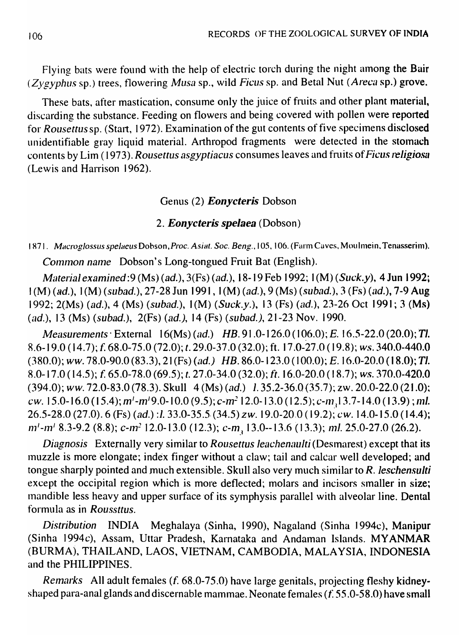Flying bats were found with the help of electric torch during the night among the Bair (Zygyphus sp.) trees, flowering Musa sp., wild Ficus sp. and Betal Nut (Areca sp.) grove.

These bats, after mastication, consume only the juice of fruits and other plant material, discarding the substance. Feeding on flowers and being covered with pollen were reported for Rousettus sp. (Start, 1972). Examination of the gut contents of five specimens disclosed unidentifiable gray liquid material. Arthropod fragments were detected in the stomach contents by Lim (1973). Rousettus asgyptiacus consumes leaves and fruits of Ficus religiosa (Lewis and Harrison 1962).

# Genus (2) *Eonycteris* Dobson

# *2. Eonycteris speJaea* (Dobson)

# 1871. Macroglossus spelaeus Dobson, Proc. Asiat. Soc. Beng., 105, 106. (Farm Caves, Moulmein, Tenasserim). Common name Dobson's Long-tongued Fruit Bat (English).

Material examined: 9 (Ms) (ad.), 3(Fs) (ad.), 18-19 Feb 1992; 1(M) (Suck.y), 4 Jun 1992;  $I(M)$  (ad.),  $I(M)$  (subad.), 27-28 Jun 1991,  $I(M)$  (ad.),  $9$  (Ms) (subad.),  $3$  (Fs) (ad.), 7-9 Aug 1992; 2(Ms) (ad.), 4 (Ms) (subad.), I (M) (Suck.y.), 13 (Fs) (nd.), 23-26 Oct 1991; 3 (Ms) (ad.), 13 (Ms) (subad.),  $2(Fs)$  (ad.), 14 (Fs) (subad.), 21-23 Nov. 1990.

Measurements  $\cdot$  External  $16(Ms)$  (ad.)  $HB.91.0-126.0$  (106.0); E. 16.5-22.0 (20.0); Tl. 8.6-19.0 (14.7); f. 68.0-75.0 (72.0); t. 29.0-37.0 (32.0); ft. 17.0-27.0 (19.8); *WS.* 340.0-440.0  $(380.0)$ ; *ww.* 78.0-90.0  $(83.3)$ , 21 (Fs)  $(ad.)$  HB. 86.0-123.0  $(100.0)$ ; E. 16.0-20.0  $(18.0)$ ; Tl. 8.0-17.0 (14.5); f. 65.0-78.0 (69.5); t. 27.0-34.0 (32.0); ft. 16.0-20.0 (18.7); ws. 370.0-420.0  $(394.0);$  ww. 72.0-83.0 (78.3). Skull  $4$  (Ms) (ad.)  $1.35.2-36.0(35.7);$  zw. 20.0-22.0 (21.0); cw. 15.0-16.0 (15.4);  $m'-m'$ 9.0-10.0 (9.5); c- $m^2$ 12.0-13.0 (12.5); c- $m<sub>3</sub>$ 13.7-14.0 (13.9); ml. 26.5-28.0 (27.0). 6 (Fs) (ad.) :1. 33.0-35.5 (34.5) zw. 19.0-20.0 (19.2); cw. 14.0-15.0 (14.4);  $101^{1}-101^{1}$  8.3-9.2 (8.8); c- $m^{2}$  12.0-13.0 (12.3); c-m, 13.0--13.6 (13.3);  $m$ l. 25.0-27.0 (26.2).

Diagnosis Externally very similar to Rousettus leachenaulti (Desmarest) except that its muzzle is more elongate; index finger without a claw; tail and calcar well developed; and tongue sharply pointed and much extensible. Skull also very much similar to  $R$ . leschensulti except the occipital region which is more deflected; molars and incisors smaller in size; mandible less heavy and upper surface of its symphysis parallel with alveolar line. Dental formula as in Roussttus.

Distribution INDIA Meghalaya (Sinha, 1990), Nagaland (Sinha 1994c), Manipur (Sinha 1994c), Assam, Uttar Pradesh, Karnataka and Andaman Islands. MYANMAR (BURMA), THAILAND, LAOS, VIETNAM, CAMBODIA, MALAYSIA, INDONESIA and the PHILIPPINES.

Remarks All adult females  $(f. 68.0-75.0)$  have large genitals, projecting fleshy kidneyshaped para-anal glands and discernable mammae. Neonate females *(I:* 55.0-58.0) have small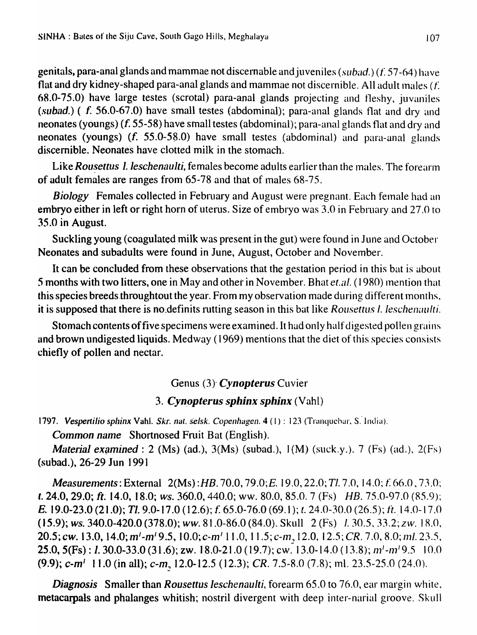genitals, para-anal glands and mammae not discernable and juveniles (subad.) (f. 57-64) have flat and dry kidney-shaped para-anal glands and mammae not discernible. All adult males  $(f)$ . 68.0-75.0) have large testes (scrotal) para-anal glands projecting and fleshy, juvaniles (subad.) ( f. 56.0-67.0) have small testes (abdominal); para-anal glands flat and dry and neonates (youngs) (f. 55-58) have small testes (abdominal); para-anal glands flat and dry and neonates (youngs) (f. 55.0-5S.0) have small testes (abdominal) and para-anal glands discernible. Neonates have clotted milk in the stomach.

Like *Rousettus 1. leschenaulti*, females become adults earlier than the males. The forearm of adult females are ranges from 65-78 and that of males 68-75.

*Biology* Females collected in February and August were pregnant. Each female had an embryo either in left or right horn of uterus. Size of embryo was 3.0 in February and 27.0 to 35.0 in August.

Suckling young (coagulated milk was present in the gut) were found in June and October Neonates and subadults were found in June, August, October and November.

It can be concluded from these observations that the gestation period in this bat is about 5 months with two litters, one in May and other in November. Bhat *et.al.* (1980) mention that this species breeds throughtout the year. From my observation made during different months, it is supposed that there is no definits rutting season in this bat like *Rousettus I. leschenaulti.* 

Stomach contents offive specimens were examined. It had only half digested pollen grains and brown undigested liquids. Medway (1969) mentions that the diet of this species consists chiefly of pollen and nectar.

## Genus (3)' *Cynopterus* Cuvier

#### 3. **Cynopterus sphinx sphinx** (Vahl)

1797. Vespertilio sphinx Vahl. *Skr. nat. selsk. Copenhagen.* 4 (1): 123 (Tranquebar, S. India).

*Common name* Shortnosed Fruit Bat (English).

*Material examined* : 2 (Ms) (ad.), 3(Ms) (subad.), 1(M) (suck.y.). 7 (Fs) (ad.), 2(Fs) (subad.), 26-29 Jun 1991

*Measurements: External 2(Ms) :HB.* 70.0, 79.0; *E.* 19.0, 22.0; *Tl.* 7.0, 14.0; *f.* 66.0, 73.0; t. 24.0, 29.0; ft. 14.0, 18.0; *ws.* 360.0, 440.0; ww. 80.0, 85.0. 7 (Fs) *HB.* 75.0-97.0 (85.9); **E.** 19.0-23.0 (21.0); Tl. 9.0-17.0 (12.6); f. 65.0-76.0 (69.1); t. 24.0-30.0 (26.5); ft. 14.0-17.0  $(15.9)$ ; *ws.*  $340.0-420.0$   $(378.0)$ ; *ww.*  $81.0-86.0$   $(84.0)$ . Skull  $2$  (Fs)  $1.30.5$ ,  $33.2$ ; *zw.*  $18.0$ , **20.5; cw. 13.0, 14.0; m'-m' 9.5, 10.0; c-m' 11.0, 11.5; c-m, 12.0, 12.5;** *CR.* **7.0, 8.0; ml. 23.5,** 25.0, 5(Fs): *1.* 30.0-33.0 (31.6); zw. 18.0-21.0 (19.7); cw. 13.0-14.0 (13.8);  $m^1$ - $m^1$ 9.5 10.0 (9.9);  $c$ -m<sup>1</sup> 11.0 (in all);  $c$ -m, 12.0-12.5 (12.3); CR. 7.5-8.0 (7.8); ml. 23.5-25.0 (24.0).

*Diagnosis* Smaller than *Rousettus leschenaulti*, forearm 65.0 to 76.0, ear margin white, metacarpals and phalanges whitish; nostril divergent with deep inter-narial groove. Skull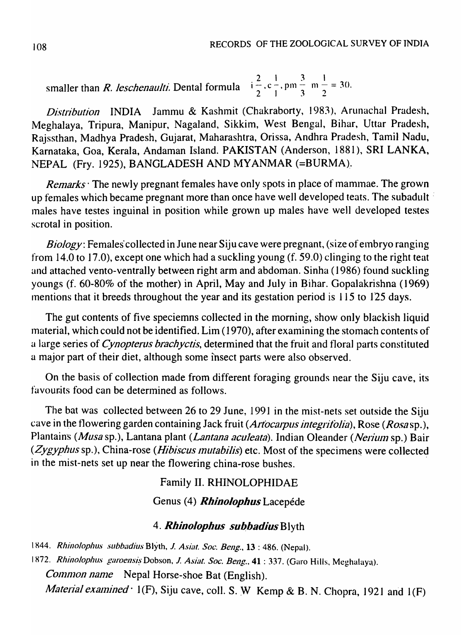smaller than *R. leschenaulti.* Dental formula  $i = 2, c = 1, pm = 3, m = 3$ <br>2  $\frac{1}{2}$   $\frac{3}{1}$   $\frac{1}{3}$   $\frac{2}{2}$ 

*Distribution* INDIA Jammu & Kashmit (Chakraborty, 1983), Arunachal Pradesh, Meghalaya, Tripura, Manipur, Nagaland, Sikkim, West Bengal, Bihar, Uttar Pradesh, Rajssthan, Madhya Pradesh, Gujarat, Maharashtra, Orissa, Andhra Pradesh, Tamil Nadu, Karnataka, Goa, Kerala, Andaman Island. PAKISTAN (Anderson, 1881), SRI LANKA, NEPAL (Fry. 1925), BANGLADESH AND MYANMAR (=BURMA}.

*Remarks* The newly pregnant females have only spots in place of mammae. The grown up females which became pregnant more than once have well developed teats. The subadult : males have testes inguinal in position while grown up males have well developed testes scrotal in position.

*Biology*: Females' collected in June near Siju cave were pregnant, (size of embryo ranging from 14.0 to 17.0), except one which had a suckling young (f. 59.0) clinging to the right teat and attached vento-ventrally between right arm and abdoman. Sinha (1986) found suckling youngs (f. 60-80% of the mother) in April, May and July in Bihar. Gopalakrishna (1969) mentions that it breeds throughout the year and its gestation period is 115 to 125 days.

The gut contents of five speciemns collected in the morning, show only blackish liquid material, which could not be identified. Lim (1970), after examining the stomach contents of a large series of *Cynopterus brachyctis*, determined that the fruit and floral parts constituted a major part of their diet, although some insect parts were also observed.

On the basis of collection made from different foraging grounds near the Siju cave, its favourits food can be determined as follows.

The bat was collected between 26 to 29 June, 1991 in the mist-nets set outside the Siju cave in the flowering garden containing Jack fruit (Artocarpus integrifolia), Rose (Rosasp.), Plantains *(Musa* sp.), Lantana plant *(Lantana aculeata)*. Indian Oleander *(Nerium* sp.) Bair (Zygyphus sp.), China-rose (Hibiscus mutabilis) etc. Most of the specimens were collected in the mist-nets set up near the flowering china-rose bushes.

### Family II. RHINOLOPHIDAE

### Genus (4) *Rhinolophus* Lacepéde

#### 4. **Rhinolophus subbadius** Blyth

1844. Rhinolophus subbadius Blyth, J. Asiat. Soc. Beng., 13 : 486. (Nepal).

1872. *Rhinolophus garoensis* Dobson, *J. Asiat. Soc. Beng.*, 41 : 337. (Garo Hills, Meghalaya).

*Common name* Nepal Horse-shoe Bat (English).

*Material examined*  $\cdot$  1(F), Siju cave, coll. S. W Kemp & B. N. Chopra, 1921 and 1(F)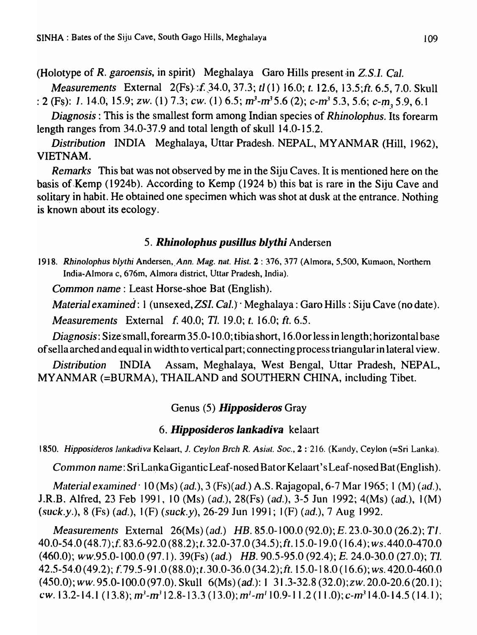(Holotype of *R. garoensis,* in spirit) Meghalaya Garo Hills present ·in *Z.S.l. Cal.* 

*Measurements* External 2(Fs): *f.* 34.0, 37.3; *tl* (1) 16.0; *t.* 12.6, 13.5; *ft.* 6.5, 7.0. Skull : 2 (Fs): 1. 14.0, 15.9; *zw.* (1) 7.3; *cw.* (1) 6.5;  $m^3$ - $m^3$ 5.6 (2); *c*- $m^3$ 5.3, 5.6; *c*- $m^3$ , 5.9, 6.1

*Diagnosis:* This is the smallest form among Indian species of *Rhinolophus.* Its forearm length ranges from 34.0-37.9 and total length of skull 14.0-15.2.

*Distribution* INDIA Meghalaya, Uttar Pradesh. NEPAL, MYANMAR (Hill, 1962), VIETNAM.

*Remarks* This bat was not observed by me in the Siju Caves. It is mentioned here on the basis of Kemp (1924b). According to Kemp (1924 b) this bat is rare in the Siju Cave and solitary in habit. He obtained one specimen which was shot at dusk at the entrance. Nothing is known about its ecology.

## *5. Rhinolophus pusillus blythi* Andersen

1918. Rhinolophus blythi Andersen, Ann. Mag. nat. Hist. 2: 376, 377 (Almora, 5,500, Kumaon, Northern India-Almora c, 676m, Almora district, Uttar Pradesh, India).

*Common name:* Least Horse-shoe Bat (English).

*Material examined: 1 (unsexed, ZSI. Cal.)* · Meghalaya: Garo Hills: Siju Cave (no date).

*Measurements* External f. 40.0; *Tl.* 19.0; *t.* 16.0; ft. 6.5.

*Diagnosis: Size small, forearm 35.0-10.0; tibia short, 16.0 or less in length; horizontal base* of sella arched and equal in width to vertical part; connecting process triangular in lateral view.

*Distribution* INDIA Assam, Meghalaya, West Bengal, Uttar Pradesh, NEPAL, MYANMAR (=BURMA), THAILAND and SOUTHERN CHINA, including Tibet.

# Genus (5) *Hipposideros* Gray

## *6. Hipposideros lankadiva* kelaart

*1850. Hipposideros lankadiva* Kelaart, 1. *Ceylon Brch R. Asiat. Soc.,* 2 :'216. (Kandy, Ceylon (=Sri Lanka).

Common name: SriLanka Gigantic Leaf-nosed Bator Kelaart's Leaf-nosed Bat (English).

*Material examined*  $\cdot$  10 (Ms) *(ad.),* 3 *(Fs)(ad.)* A.S. Rajagopal, 6-7 Mar 1965; 1 *(M) <i>(ad.), l* J.R.B. Alfred, 23 Feb 1991, 10 (Ms) *(ad.),* 28(Fs) *(ad.),* 3-5 Jun 1992; 4(Ms) *(ad.),* 1 (M) (suck.y.), 8 (Fs) *(ad.),* 1 (F) (suck.y), 26-29 Jun 1991; 1 (F) *(ad.),* 7 Aug 1992.

*Measurelnents* External 26(Ms) *(ad.) HB.* 85.0-100.0 (92.0); *E.* 23.0-30.0 (26.2); *TI.*  40.0-54.0 (48.7);[ 83.6-92.0 (88.2);t. 32.0-37.0 (34.5);ft.15.0-19.0 (16.4); ws.440.0-470.0 (460.0); *ww.95.0-1* 00.0 (97.1). 39(Fs) *(ad.) HB.* 90.5-95.0 (92.4); *E.* 24.0-30.0 (27.0); *TI.*  42.5-54.0 (49.2); f 79.5-91.0 (88.0);t. 30.0-36.0 (34.2);ft. 15.0-18.0 (16.6); ws. 420.0-460.0 (450.0); *ww.* 95.0-100.0 (97.0). Skull 6(Ms) *(ad.):* I 31.3-32.8 (32.0);zw. 20.0-20.6 (20.1); cw. 13.2-14.1 (13.8);  $m^3-m^3$ 12.8-13.3 (13.0);  $m^1-m^1$  10.9-11.2 (11.0); c- $m^3$ 14.0-14.5 (14.1);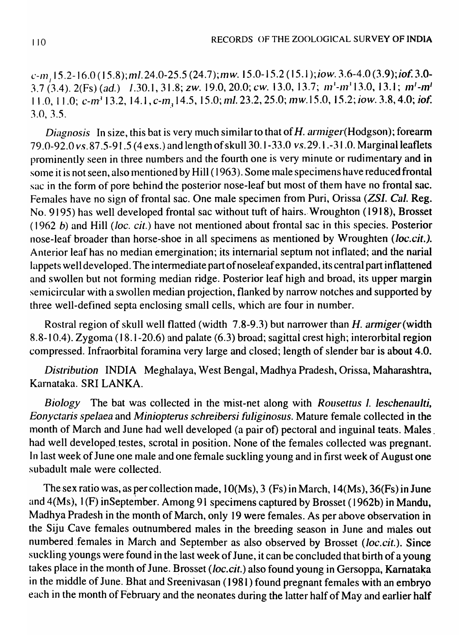$(c-m, 15.2-16.0$  (15.8); ml. 24.0-25.5 (24.7); mw. 15.0-15.2 (15.1); iow. 3.6-4.0 (3.9); iof. 3.0- $3.7(3.4)$ .  $2(Fs)$  (ad.) 1.30.1,  $31.8$ ; zw. 19.0,  $20.0$ ; cw. 13.0, 13.7;  $m^3$ - $m^3$ 13.0, 13.1;  $m^1$ - $m^1$ 11.0, 11.0; *c-m<sup>3</sup>* 13.2, 14.1, *c-m<sub>3</sub>* 14.5, 15.0; ml. 23.2, 25.0; mw.15.0, 15.2; *iow.* 3.8, 4.0; *iof*. 3.0,3.5.

*Diagnosis* In size, this bat is very much similar to that of H. *armiger*(Hodgson); forearm 79.0-92.0 *VS.* 87.5-91.5 (4 exs.) and length of skull 30. 1-33.0 vs.29.1.-31.0. Marginal leaflets prominently seen in three numbers and the fourth one is very minute or rudimentary and in some it is not seen, also mentioned by Hill (1963). Some male specimens have reduced frontal sac in the form of pore behind the posterior nose-leaf but most of them have no frontal sac. Females have no sign of frontal sac. One male specimen from Puri, Orissa *(ZSI. Cal.* Reg. No. 9195) has well developed frontal sac without tuft of hairs. Wroughton (1918), Brosset *(1962 b)* and Hill *(Joc. cit.)* have not mentioned about frontal sac in this species. Posterior nose-leaf broader than horse-shoe in all specimens as mentioned by Wroughten *(loc.cit.).*  Anterior leaf has no median emergination; its intemarial septum not inflated; and the narial lappets well developed. The intermediate part of noseleaf expanded, its central part inflattened and swollen but not forming median ridge. Posterior leaf high and broad, its upper margin semicircular with a swollen median projection, flanked by narrow notches and supported by three well-defined septa enclosing small cells, which are four in number.

Rostral region of skull well flatted (width 7.8-9.3) but narrower than H. *armiger* (width 8.8-10.4). Zygoma (18.1-20.6) and palate (6.3) broad; sagittal crest high; interorbital region compressed. Infraorbital foramina very large and closed; length of slender bar is about 4.0.

*Distribution* INDIA Meghalaya, West Bengal, Madhya Pradesh, Orissa, Maharashtra, Karnataka. SRI LANKA.

*Biology* The bat was collected in the mist-net along with *Rousettus 1. leschenaulti*, *Eonyctaris spelaea* and *Miniopterus schreibersi fuliginosus.* Mature female collected in. the month of March and June had well developed (a pair of) pectoral and inguinal teats. Males had well developed.testes, scrotal in position. None of the females collected was pregnant. In last week of June one male and one female suckling young and in first week of August one subadult male were collected.

The sex ratio was, as per collection made,  $10(Ms)$ , 3 (Fs) in March, 14(Ms), 36(Fs) in June and 4(Ms), 1(F) in September. Among 91 specimens captured by Brosset (1962b) in Mandu, Madhya Pradesh in the month of March, only 19 were females. As per above observation in the Siju Cave females outnumbered males in the breeding season in June and males out numbered females in March and September as also observed by Brosset (loc.cit.). Since suckling youngs were found in the last week of June, it can be concluded that birth of a young takes place in the month of June. Brosset *(loc.cit.)* also found young in Gersoppa, Kamataka in the middle of June. Bhat and Sreenivasan (1981) found pregnant females with an embryo each in the month of February and the neonates during the latter half of May and earlier half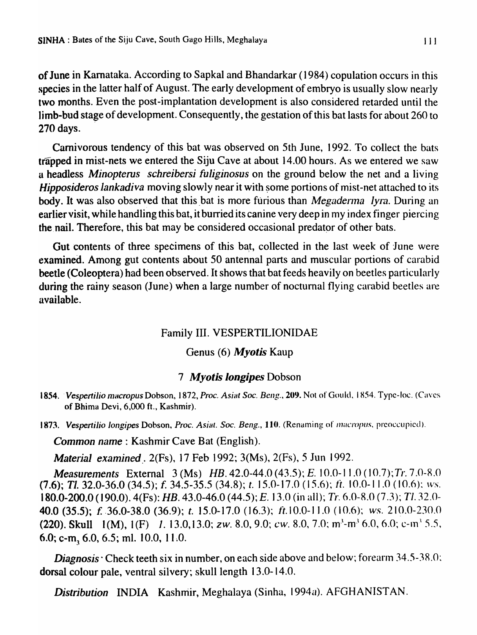of June in Kamataka. According to Sapkal and Bhandarkar (1984) copulation occurs in this species in the latter half of August. The early development of embryo is usually slow nearly two months. Even the. post-implantation development is also considered retarded until the limb-bud stage of development. Consequently, the gestation of this bat lasts for about 260 to 270 days.

Carnivorous tendency of this bat was observed on 5th June, 1992. To collect the bats trapped in mist-nets we entered the Siju Cave at about 14.00 hours. As we entered we saw u headless *Minopterus schreibersi fuliginosus* on the ground below the net and a living *Hipposideros lankadiva* moving slowly near it with some portions of mist-net attached to its body. It was also observed that this bat is more furious than *Megaderma lyra*. During an earlier visit, while handling this bat, it burried its canine very deep in my index finger piercing the nail. Therefore, this bat may be considered occasional predator of other bats.

Gut contents of three specimens of this bat, collected in the last week of June were examined. Among gut contents about 50 antennal parts and muscular portions of carabid beetle (Coleoptera) had been observed. It shows that bat feeds heavily on beetles particularly during the rainy season (June) when a large number of nocturnal flying carabid beetles are available.

#### Family III. VESPERTILIONIDAE

#### Genus (6) *Myotis* Kaup

#### 7 *Myotis longipes* Dobson

1854. *Vespertilio macropus Dobson, 1872, Proc. Asiat Soc. Beng., 209. Not of Gould, 1854. Type-Ioc. (Caves* of Bhima Devi, 6,000 ft., Kashmir).

1873. Vespertilio longipes Dobson, Proc. Asiat. Soc. Beng., 110. (Renaming of *macropus*, preoccupied).

*Common name:* Kashmir Cave Bat (English).

*Material examined .* 2(Fs), 17 Feb 1992; 3(Ms), 2(Fs), 5 Jun 1992.

*Measurements* External 3 (Ms) *HB.* 42.0-44.0 (43.5); *E.* 10.0-11.0 (10.7); *Tr.* 7.0-8.0  $(7.6)$ ; Tl. 32.0-36.0 (34.5); f. 34.5-35.5 (34.8); t. 15.0-17.0 (15.6); ft. 10.0-11.0 (10.6); *ws.* 180.0-200.0 (190.0). 4(Fs): *HB.* 43.0-46.0 (44.5); *E.* 13.0 (in all)~ *Tr.* 6.0-R.0 (7.3)~ *TI. 32.0-* 40.0 (35.5); f. .36.0-38.0 (36.9); *t.* 15.0-17.0 (16.3); It.10.0-11.0 (10.6); ws.210.0-230.0 (220). Skull  $1(M)$ ,  $1(F)$  1. 13.0,13.0; *zw.* 8.0, 9.0; *cw.* 8.0, 7.0;  $m^3$ - $m^3$  6.0, 6.0; *c*- $m^3$  5.5, 6.0; c-m, 6.0, 6.5; ml. 10.0, 11.0.

*Diagnosis* Check teeth six in number, on each side above and below; forearm 34.5-38.0; dorsal colour pale, ventral silvery; skull length 13.0-14.0.

**Distribution INDIA Kashmir, Meghalaya (Sinha, 1994a). AFGHANISTAN.**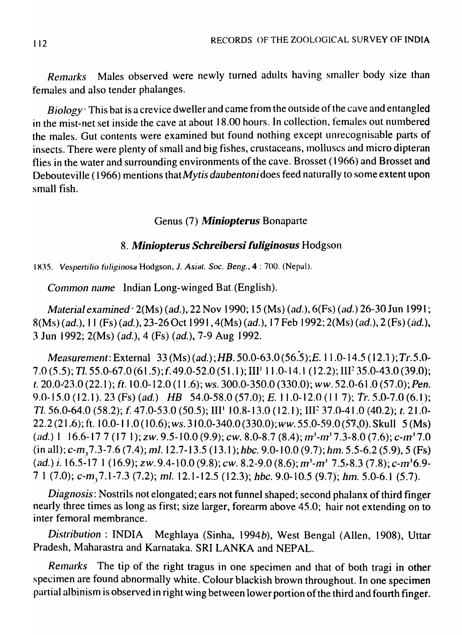Remarks Males observed were newly turned adults having smaller body size than females and also tender phalanges.

Biology' This bat is a crevice dweller and came from the outside of the cave and entangled in the mist-net set inside the cave at about 18.00 hours. In collection, females out numbered the males. Gut contents were examined but found nothing except unrecognisable parts of insects. There were plenty of small and big fishes, crustaceans, molluscs and micro dipteran flies in the water and surrounding environments of the cave. Brosset ( 1966) and Brosset and Debouteville (1966) mentions that *My tis daubentoni* does feed naturally to some extent upon small fish.

### Genus (7) *Miniopterus* Bonaparte

# 8. Miniopterus Schreibersi fuliginosus Hodgson

*1835. VespertiJio filliginosa* Hodgson, *1. Asittl. Soc. Beng.,* 4 : 700. (Nepal).

Common name Indian Long-winged Bat.(English).

Material examined  $2(Ms)$  (ad.), 22 Nov 1990; 15 (Ms) (ad.), 6(Fs) (ad.) 26-30 Jun 1991; 8(Ms) (ad.), 11 (Fs) (ad.), 23-26 Oct 1991, 4(Ms) (ad.), 17 Feb 1992; 2(Ms) (ad.), 2 (Fs) (ad.), 3 Jun 1992; 2(Ms) (ad.), 4 (Fs) (ad.), 7-9 Aug 1992.

Measurement: External 33 (Ms) (ad.); HB. 50.0-63.0 (56.5); E. 11.0-14.5 (12.1); Tr.5.0-7.0 (5.5); Tl. 55.0-67.0 (61.5); f. 49.0-52.0 (51.1); III<sup>1</sup> 11.0-14.1 (12.2); III<sup>2</sup> 35.0-43.0 (39.0); t. 20.0-23.0 (22.1); ft. 10.0-12.0 (11.6); *ws.* 300.0-350.0 (330.0); *ww.* 52.0-61.0 (57.0); *Pen.* 9.0-15.0 (12.1). 23 (Fs) (ad.) HB 54.0-58.0 (57.0); E. 11.0-12.0 (11 7); Tr. 5.0-7.0 (6.1); Tl. 56.0-64.0 (58.2); f. 47.0-53.0 (50.5); III<sup>1</sup> 10.8-13.0 (12.1); III<sup>2</sup> 37.0-41.0 (40.2); t. 21.0-22.2 (21.6); ft. 10.0-11.0 (10.6); *ws.* 310.0-340.0 (330.0); *ww.* 55.0-59.0 ( $\overline{57,0}$ ). Skull 5 (Ms)  $(ad.)$  1 16.6-17 7 (17 1); zw. 9.5-10.0 (9.9); cw. 8.0-8.7 (8.4);  $m<sup>3</sup>$ - $m<sup>3</sup>$ 7.3-8.0 (7.6); c- $m<sup>3</sup>$ 7.0 (in all);  $c$ -m<sub>3</sub>7.3-7.6 (7.4); ml. 12.7-13.5 (13.1); hbc. 9.0-10.0 (9.7); hm. 5.5-6.2 (5.9), 5 (Fs) (ad.) *i.* 16.5-17 1 (16.9); zw. 9.4-10.0 (9.8); cw. 8.2-9.0 (8.6);  $m^3-m^3$  7.5, 8.3 (7.8); c- $m^3$ 6.9-7 1 (7.0); c-m<sub>3</sub> 7.1-7.3 (7.2); ml. 12.1-12.5 (12.3); hbc. 9.0-10.5 (9.7); hm. 5.0-6.1 (5.7).

Diagnosis: Nostrils not elongated; ears not funnel shaped; second phalanx of third finger nearly three times as long as first; size larger, forearm above 45.0; hair not extending on to inter femoral membrance.

Distribution: INDIA Meghlaya (Sinha, 1994b), West Bengal (Allen, 1908), Uttar Pradesh, Maharastra and Karnataka. SRI LANKA and NEPAL.

Remarks The tip of the right tragus in one specimen and that of both tragi in other specimen are found abnormally white. Colour blackish brown throughout. In one specimen partial albinism is observed in right wing between lower portion of the third and fourth finger.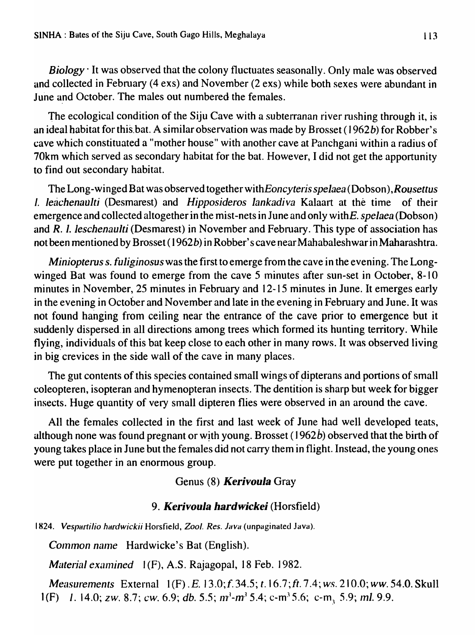*Biology'* It was observed that the colony fluctuates seasonally. Only male was observed and collected in February (4 exs) and November (2 exs) while both sexes were abundant in June and October. The males out numbered the females.

The ecological condition of the Siju Cave with a subterranan river rushing through it, is an ideal habitat for this.bat. A similar observation was made by Brosset (1962b) for Robber's cave which constituated a "mother house" with another cave at Panchgani within a radius of 70km which served as secondary habitat for the bat. However, I did not get the apportunity to find out secondary habitat.

The Long-winged Bat was observed together with *Eoncyteris spelaea* (Dobson), *Rousettus I. leachenaulti* (Desmarest) and *Hipposideros lankadiva* Kalaart at the time of their emergence and collected altogether in the mist-nets in June and only withE. *spelaea* (Dobson) and R. I. *leschenaulti* (Desmarest) in November and February. This type of association has not been mentioned by Brosset (1962b) in Robber's cave near Mahabaleshwar in Maharashtra.

*Miniopterus* s. *fuliginosus* was the first to emerge from the cave in the evening. The Longwinged Bat was found to emerge from the cave 5 minutes after sun-set in October, 8-10 minutes in November, 25 minutes in February and 12-15 minutes in June. It emerges early in the evening in October and November and late in the evening in February and June. It was not found hanging from ceiling near the entrance of the cave prior to emergence but it suddenly dispersed.in all directions among trees which formed its hunting territory. While flying., individuals of this bat keep close to each other in many rows. It was observed living in big crevices in the side wall of the cave in many places.

The gut contents of this species contained small wings of dipterans and portions of small coleopteren, isopteran and hymenopteran insects. The dentition is sharp but week for bigger insects. Huge quantity of very small dipteren flies were observed in an around the cave.

All the females collected in the first and last week of June had well developed teats, although none was found pregnant or with young. Brosset (1962b) observed that the birth of young takes place in June but the females did not carry them in flight. Instead, the young ones were put together in an enormous group.

# Genus (8) *Kerivou/a* Gray

## *9. Kerivou/a hardwickei* (Horsfield)

1824. Vespartilio hardwickii Horsfield, *Zool. Res. Java* (unpaginated Java).

*Common name* Hardwicke's Bat (English).

*Material examined* 1(F), A.S. Rajagopal, 18 Feb. 1982.

*Measurements* External 1(F) . E. 13.0; f. 34.5; t. 16.7; ft. 7.4; ws. 210.0; ww. 54.0. Skull 1(F) 1. 14.0; zw. 8.7; *cw.* 6.9; *db.* 5.5;  $m^3 - m^3$  5.4; c-m<sup>3</sup> 5.6; c-m<sub>3</sub> 5.9; *ml.* 9.9.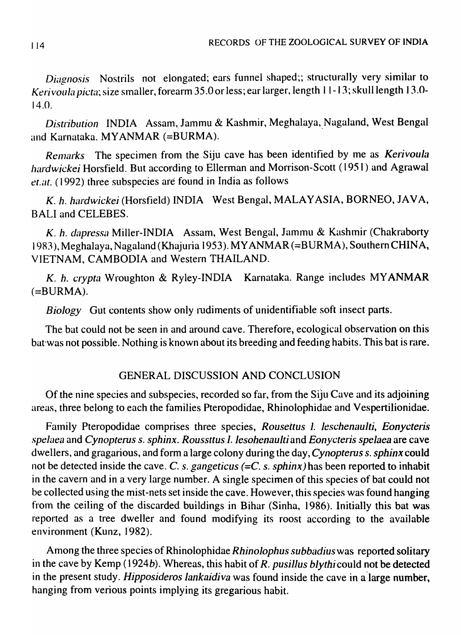*Diagnosis* Nostrils not elongated; ears funnel shaped;; structurally very similar to *Kerivoula picta*; size smaller, forearm 35.0 or less; ear larger, length 11-13; skull length 13.0-14.0.

*Distribution* INDIA Assam, Jammu & Kashmir, Meghalaya, Nagaland, West Bengal and Karnataka. MYANMAR (=BURMA).

*Remarks* The specimen from the Siju cave has been identified by me as *Kerivoula hardwickei* Horsfield. But according to Ellerman and Morrison-Scott (1951) and Agrawal *et.ilt.* (1992) three subspecies are found in India as follows

K. h. hardwickei (Horsfield) INDIA West Bengal, MALAYASIA, BORNEO, JAVA, BALI and CELEBES.

K. h. dapressa Miller-INDIA Assam, West Bengal, Jammu & Kashmir (Chakraborty 1983), Meghalaya, Nagaland (Khajuria 1953). MYANMAR (=BURMA), Southern CHINA, VIETNAM, CAMBODIA and Western THAILAND.

K. h. crypta Wroughton & Ryley-INDIA Karnataka. Range includes MYANMAR  $(=\text{BURMA})$ .

*Biology* Gut contents show only rudiments of unidentifiable soft insect parts.

The bat could not be seen in and around cave. Therefore, ecological observation on this bat was not possible. Nothing is known about its breeding and feeding habits. This bat is rare.

# GENERAL DISCUSSION AND CONCLUSION

Of the nine species and subspecies, recorded so far, from the Siju Cave and its adjoining areas, three belong to each the families Pteropodidae, Rhinolophidae and Vespertilionidae.

Family Pteropodidae comprises three species, *Rousettus 1. leschenaulti, Eonycteris spelaea* and *Cynopterus s. sphinx. Roussttus I. lesohenaulti* and *Eonycteris spelaea* are cave dwellers, and gragarious, and form a large colony during the day, *Cynopterus s. sphinx* could not be detected inside the cave. C. s. *gangeticus* (=C. s. *sphinx*) has been reported to inhabit in the cavern and in a very large number. A single specimen of this species of bat could not be collected using the mist-nets set inside the cave. However, this species was found hanging from the ceiling of the discarded buildings in Bihar (Sinha, 1986). Initially this bat was reported as a tree dweller and found modifying its roost according to the available environment (Kunz, 1982).

Among the three species of Rhinolophidae *Rhinolophus subbadius* was reported solitary in the cave by Kemp (1924b). Whereas, this habit of *R. pusillus blythicould* not be detected in the present study. *Hipposideros lankaidiva* was found inside the cave in a large number, hanging from verious points implying its gregarious habit.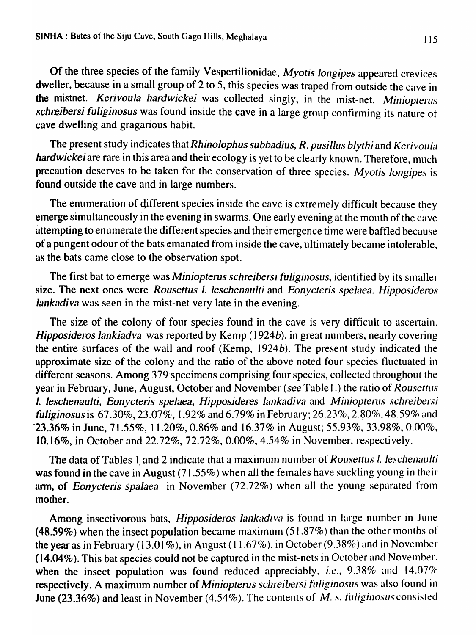Of the three species of the family Vespertilionidae, *Myotis longipes* appeared crevices dweller, because in a small group of 2 to 5, this species was traped from outside the cave in the mistnet. *Kerivoula hardwickei* was collected singly, in the Inist-net. *Miniopterus schreibersi fuliginosus* was found inside the cave in a large group confirming its nature of cave dwelling and gragarious habit.

The present study indicates that *Rhinolophus subbadius, R. pusillus blythi* and *Kerivoula hardwickei* are rare in this area and their ecology is yet to be clearly known. Therefore, much precaution deserves to be taken for the conservation of three species. *Myotis longipes* is found outside the cave and in large numbers.

The enumeration of different species inside the cave is extremely difficult because they elnerge simultaneously in the evening in swarms. One early evening at the mouth of the cave attempting to enumerate the different species and their emergence time were baffled because of a pungent odour of the bats emanated from inside the cave, ultimately became intolerable, as the bats came close to the observation spot.

The first bat to emerge was *Miniopterus schreibersi fuliginosus*, identified by its smaller  $\ddot{\textbf{s}}$  ize. The next ones were *Rousettus 1. leschenaulti* and *Eonycteris spelaea. Hipposideros lankadiva* was seen in the mist-net very late in the evening.

The size of the colony of four species found in the cave is very difficult to ascertain. *Hipposideros lankiadva* was reported by Kemp (1924b). in great numbers, nearly covering the entire surfaces of the wall and roof (Kemp, 1924b). The present study indicated the approximate size of the colony and the ratio of the above noted four species fluctuated in different seasons. Among 379 specimens comprising four species, collected throughout the year in February, June, August, October and November (see Table I.) the ratio of *Rousettus* 1. leschenaulti, Eonycteris spelaea, Hipposideres lankadiva and *Miniopterus schreibersi fuliginosus* is 67.30%, 23.07%, 1.92% and 6.79% in February; 26.23%, 2.80%, 48.59% and '23.36% in June, 71.55%, 11.20%, *0.860/0* and *16.370/0* in August; 55.93%, *33.98%,0.000/0,*  10.16%, in October and 22.72%,72.72%,0.00%,4.54% in November, respectively.

The data of Tables 1 and 2 indicate that a maximum number of Rousettus I. leschenaulti was found in the cave in August  $(71.55\%)$  when all the females have suckling young in their arm, of *Eonycteris spalaea* in November (72.72%) when all the young separated from Inother.

Among insectivorous bats, *Hipposideros lankadiva* is found in large number in June (48.59%) when the insect population became maximum  $(51.87%)$  than the other months of the year as in February (13.01%), in August (11.67%), in October (9.38%) and in November (14.04%). This bat species could not be captured in the mist-nets in October and November, when the insect population was found reduced appreciably, *i.e.*, 9.38% and 14.07% respectively. A maximum number of *Miniopterus schreibersi fuliginosus* was also found in June (23.36%) and least in November (4.54%). The contents of M. s. *fuliginosus* consisted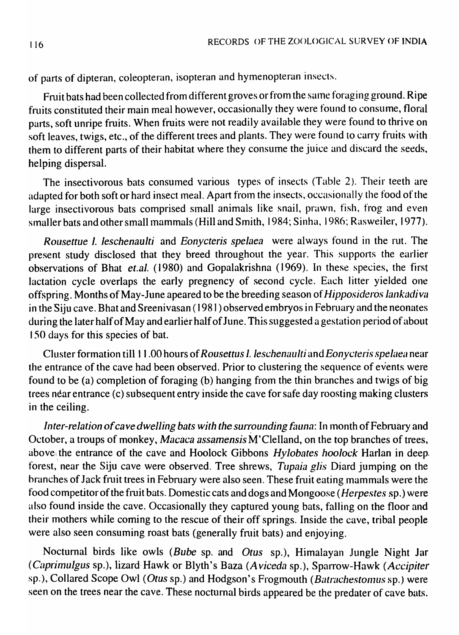of parts of dipteran, coleopteran, isopteran and hymenopteran insects.

Fruit bats had been collected from different groves or from the same foraging ground. Ripe fruits constituted their main meal however, occasionally they were found to consume, floral parts, soft unripe fruits. When fruits were not readily available they were found to thrive on soft leaves, twigs, etc., of the different trees and plants. They were found to carry fruits with them to different parts of their habitat where they consume the juice and discard the seeds., helping dispersal.

The insectivorous bats consumed various types of insects (Table 2). Their teeth are adapted for both soft or hard insect meal. Apart from the insects, occasionally the food of the large insectivorous bats comprised small animals like snail, prawn, fish, frog and even smaller bats and other small mammals (Hill and Smith, 1984; Sinha, 1986; Rasweiler, 1977).

*Rousettue* I. *leschenaulti* and *Eonycteris spelaea* were always found in the rut. The present study disclosed that they breed throughout the year. This supports the earlier observations of Bhat *et.al.* (1980) and Gopalakrishna (1969). In these species, the first lactation cycle overlaps the early pregnency of second cycle. Each litter yielded one offspring. Months of May-June apeared to be the breeding season of *Hipposideros lankadiva* in the Siju cave. Bhat and Sreenivasan (1981) observed embryos in February and the neonates during the later half of May and earlier half of June. This suggested a gestation period of about 150 days for this species of bat.

Cluster formation till 11.00 hours of *Rousettus 1. leschenaulti* and *Eonycteris spelaea* near the entrance of the cave had been observed. Prior to clustering the sequence of events were found to be (a) completion of foraging (b) hanging from the thin branches and twigs of big trees near entrance (c) subsequent entry inside the cave for safe day roosting making clusters in the ceiling.

*Inter-relation of cave dwelling bats with the surrounding fauna: In month of February and* October, a troups of monkey, *Macaca assamensis* M'Clelland, on the top branches of trees, above the entrance of the cave and Hoolock Gibbons *Hylobates hoolock* Harlan in deep. forest, near the Siju cave were observed. Tree shrews, *Tupaia glis* Diard jumping on the branches of Jack fruit trees in February were also seen. These fruit eating mammals were the food competitor of the fruit bats. Domestic cats and dogs and Mongoose *(Herpestes* sp.) were also found inside the cave. Occasionally they captured young bats, falling on the floor and their mothers while coming to the rescue of their off springs. Inside the cave, tribal people were also seen consuming roast bats (generally fruit bats) and enjoying.

Nocturnal birds like owls *(Bube* sp. and *Otus* sp.), Himalayan Jungle Night Jar *(Caprimulgus sp.), lizard Hawk or Blyth's Baza (Aviceda sp.), Sparrow-Hawk (Accipiter* sp.), Collared Scope Owl (Otus sp.) and Hodgson's Frogmouth (Batrachestomus sp.) were seen on the trees near the cave. These nocturnal birds appeared be the predater of cave bats.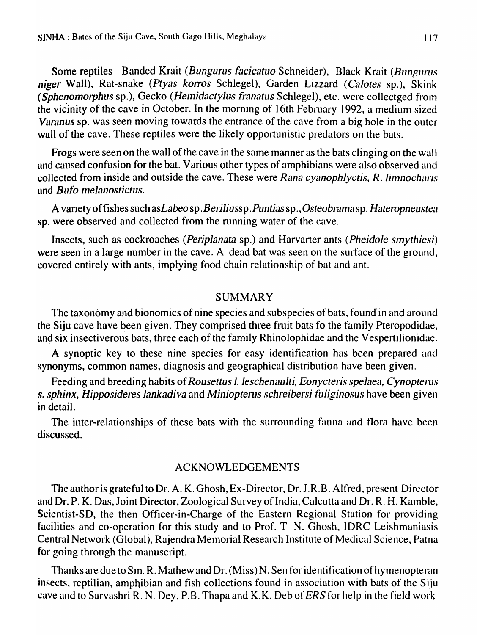Some reptiles Banded Krait *(Bungurus facicatuo* Schneider), Black Krait *(Bungurus niger* Wall), Rat-snake *(Ptyas korros Schlegel)*, Garden Lizzard *(Calotes sp.)*, Skink *(Sphenomorphus* sp.), Gecko *(Hemidactylas franatus* Schlegel), etc. were collectged froln the vicinity of the cave in October. In the morning of 16th February 1992, a medium sized *Varanus* sp. was seen moving towards the entrance of the cave from a big hole in the outer wall of the cave. These reptiles were the likely opportunistic predators on the bats.

Frogs were seen on the wall of the cave in the same manner as the bats clinging on the wall and caused confusion for the bat. Various other types of amphibians were also observed and collected from inside and outside the cave. These were *Rana cyanophlyctis, R. limnocharis* and *Bulb melanostictus.* 

A variety of fishes such as *Labeo* sp. *Beriliussp. Puntias* sp., *Osteobramasp. Hateropneustea* sp. were observed and collected from the running water of the cave.

Insects, such as cockroaches *(Periplanata* sp.) and Harvarter ants *(Pheidole sinythiesi)*  were seen in a large number in the cave. A dead bat was seen on the surface of the ground, covered entirely with ants, implying food chain relationship of bat and ant.

#### SUMMARY

The taxonomy and bionomics of nine species and subspecies of bats, found in and around the Siju cave have been given. They comprised three fruit bats fo the family Pteropodidae, and six insectiverous bats, three each of the family Rhinolophidae and the Vespertilionidae.

A synoptic key to these nine species for easy identification has been prepared and synonyms, common names, diagnosis and geographical distribution have been given.

Feeding and breeding habits of *Rousettus* 1. *1eschenau1ti, Eonycteris spelaea, Cynopterus*  ,~ . *.* ~phinx, *Hipposideres lankadiva* and *Miniopterus schreibersi filliginosus* have been given in detail.

The inter-relationships of these bats with the surrounding fauna and flora have been discussed.

#### ACKNOWLEDGEMENTS

The author is grateful to Dr. A. K. Ghosh, Ex-Director, Dr. 1 .R.B. Alfred, present Director and Dr. P. K. Das, Joint Director, Zoological Survey of India, Calcutta and Dr. R. H. Kamble, Scientist-SD, the then Officer-in-Charge of the Eastern Regional Station for providing facilities and co-operation for this study and to Prof.  $T$  N. Ghosh, IDRC Leishmaniasis Central Network (Global), Rajendra Memorial Research Institute of Medical Science, Patna for going through the manuscript.

Thanks are due to Sm. R. Mathew and Dr. (Miss) N. Sen for identification of hymenopteran insects, reptilian, amphibian and fish collections found in association with bats of the Siju cave and to Sarvashri R. N. Dey, P.B. Thapa and K.K. Deb of ERS for help in the field work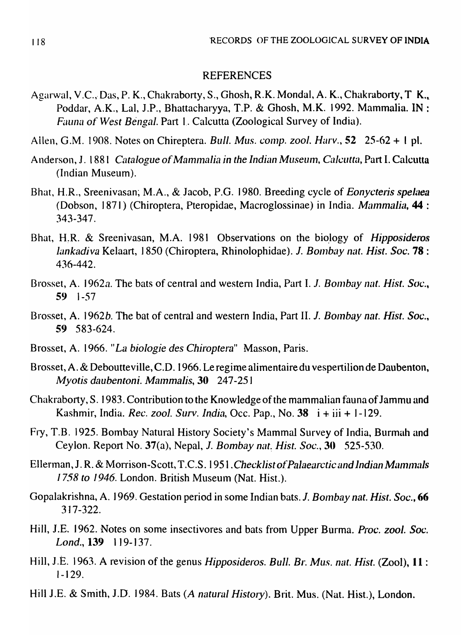#### REFERENCES

- Agarwal, V.C., Das, P. K., Chakraborty, S., Ghosh, R.K. Mondal, A. K., Chakraborty, T. K., Poddar, A.K., Lal, J.P., Bhattacharyya, T.P. & Ghosh, M.K. 1992. Mammalia. IN : *Fauna of West Bengal. Part 1. Calcutta (Zoological Survey of India).*
- Allen, G.M. 1908. Notes on Chireptera. *Bull. Mus. comp. zool. Harv.*, **52** 25-62 + 1 pl.
- Anderson, J. 1881 *Catalogue of Mammalia in the Indian Museum, Calcutta, Part I. Calcutta* (Indian Museum).
- Bhat, H.R., Sreenivasan, M.A., & Jacob, P.G. 1980. Breeding cycle of *Eonycteris spelaea* (Dobson, 1871) (Chiroptera, Pteropidae, Macroglossinae) in India. *Mammalia*, **44** : 343-347.
- Bhat, H.R. & Sreenivasan, M.A. 1981 Observations on the biology of *Hipposideros lankadiva Kelaart, 1850 (Chiroptera, Rhinolophidae). J. Bombay nat. Hist. Soc.* 78: 436-442.
- Brosset, A. 1962a. The bats of central and western India, Part I. J. *Bombay nat. Hist. Soc.*, 59 I-57
- Brosset, A. 1962b. The bat of central and western India, Part II. J. Bombay nat. Hist. Soc., 59 583-624.
- Brosset, A. 1966. *"La biologie des Chiroptera"* Masson, Paris.
- Brosset, A. & Deboutteville, C.D. 1966. Le regime alimentaire du vespertilion de Daubenton, *Myotis daubentoni. Mammalis, 30 247-251*
- Chakraborty, S. 1983. Contribution to the Knowledge of the mammalian fauna of Jammu and Kashmir, India. *Rec. zool. Surv. India,* Occ. Pap., No. 38 i + iii + 1-129.
- Fry, T.B. 1925. Bombay Natural History Society's Mammal Survey of India, Burmah and Ceylon. Report No. 37(a), Nepal, *J. Bombay nat. Hist. Soc.*, **30** 525-530.
- Ellerman, J. R. & Morrison-Scott, T.C.S. 1951. Checklist of Palaearctic and Indian Mammals 1758 *to 1946*. London. British Museum (Nat. Hist.).
- Gopalakrishna, A. 1969. Gestation period in some Indian bats. J. *Bombay nat. Hist. Soc.*, 66 3) 7-322.
- Hill, J.E. 1962. Notes on some insectivores and bats from Upper Burma. *Proc. zoo/. Soc.*  Lond., 139 119-137.
- Hill, J .E. 1963. A revision of the genus *Hipposideros. Bull.* Br. *Mus. nelt. Hist.* (Zool), II : 1-129.
- Hill J.E. & Smith, J.D. 1984. Bats (A natural History). Brit. Mus. (Nat. Hist.), London.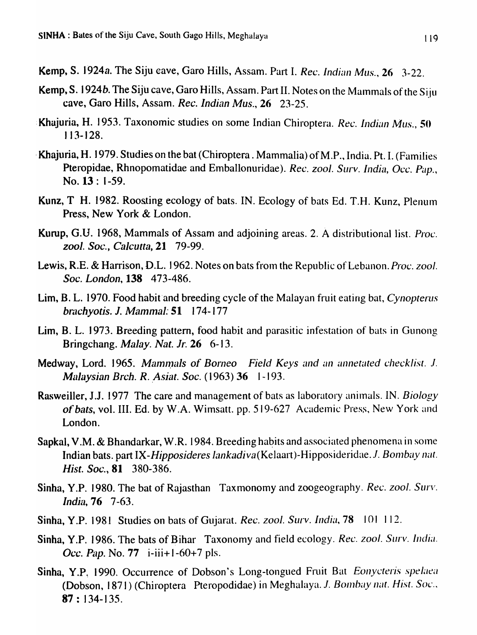Kemp, S. 1924a. The Siju cave, Garo Hills, Assam. Part I. *Rec. Indian Mus.*, 26 3-22.

- Kemp, S. 1924b. The Siju cave, Garo Hills, Assam. Part II. Notes on the Mammals of the Siju cave, Garo Hills, Assam. *Rec. Indian Mus.,* 26 23-25.
- Khajuria, H. 1953. Taxonomic studies on some Indian Chiroptera. *Rec. Indian Mus.*, 50 113-128.
- Khajuria, H. 1979. Studies on the bat (Chiroptera. Mammalia) of M.P., India. Pt. I. (Families Pteropidae, Rhnopomatidae and Emballonuridae). *Rec. zool. Surv. India, Occ. Pap.*, No. 13 : I-59.
- Kunz, T H. 1982. Roosting ecology of bats. IN. Ecology of bats Ed. T.H. Kunz, Plenum Press, New York & London.
- Kurup, G.U. 1968, Mammals of Assam and adjoining areas. 2. A distributional list. *Proc. zool. Soc., Calcutta,21 79-99.*
- Lewis, R.E. & Harrison, D.L. 1962. Notes on bats from the Republic of Lebanon. *Proc. zool. Soc. London,* 138 473-486.
- Lim, B. L. 1970. Food habit and breeding cycle of the Malayan fruit eating bat, *Cynopterus bli.chyotis.* J. *Mammal:* 51 174-177
- Lim, B. L. 1973. Breeding pattern, food habit and parasitic infestation of bats in Gunong Bringchang. *Malay. Nat.* Jr. 26 6-13.
- Medway, Lord. 1965. Mammals of Borneo Field Keys and an annetated checklist. *J. Malaysian Brch. R. Asiat. Soc.* (1963) 36 1-193.
- Rasweiller, J.J. 1977 The care and management of bats as laboratory anilnals. IN. *Biology*  of *bats*, vol. III. Ed. by W.A. Wimsatt. pp. 519-627 Academic Press, New York and London.
- Sapkal, V.M. & Bhandarkar, W.R. 1984. Breeding habits and associated phenomena in some Indian bats. part *IX-Hipposideres lankadiva* (Kelaart)-Hipposideridae. *J. Bombay nat. Hist. Soc.,* 81 380-386.
- Sinha, Y.P. 1980. The bat of Rajasthan Taxmonomy and zoogeography. *Rec. zool. Surv. India*, **76** 7-63.
- Sinha, Y.P. 1981 Studies on bats of Gujarat. *Rec. zool. Surv. India*, 78 101 112.
- Sinha, Y.P. 1986. The bats of Bihar Taxonomy and field ecology. *Rec. zool. Surv. India. Occ. Pap.* No. 77 i-iii+1-60+7 pls.
- Sinha, Y.P. 1990. Occurrence of Dobson's Long-tongued Fruit Bat *Eonycteris spelaea* (Dobson, 1871) (Chiroptera Pteropodidae) in Meghalaya. J. Bombay nat. Hist. Soc.,  $87:134-135.$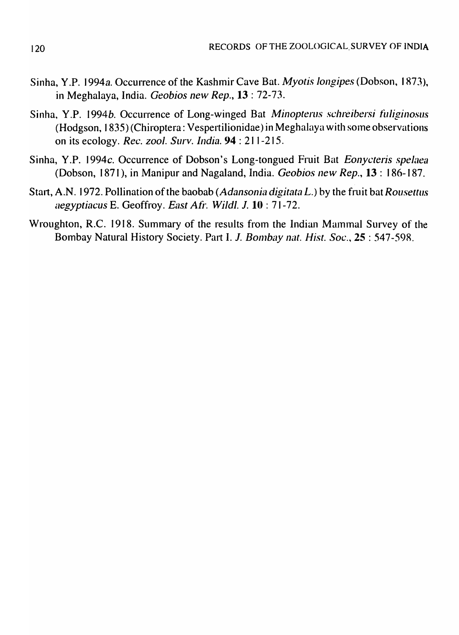- Sinha, Y.P. I *994a.* Occurrence of the Kashmir Cave Bat. *Myotis longipes* (Dobson, I R7J), in Meghalaya, India. *Geobios new Rep.,* **13** : 72-73.
- Sinha, Y.P. 1994b. Occurrence of Long-winged Bat *Minopterus schreibersi fuliginosus*  $(Hodgson, 1835)$  (Chiroptera: Vespertilionidae) in Meghalaya with some observations on its ecology. *Rec. zool. Surv. India.* **94** : 211-215.
- Sinha, Y.P. 1994c. Occurrence of Dobson's Long-tongued Fruit Bat *Eonycteris spelaea* (Dobson, 1871), in Manipur and Nagaland, India. *Geobios new Rep.,* **13:** 186-187.
- Start, A.N. 1972. Pollination of the baobab *(Adansonia digitata L.)* by the fruit bat *Rousettus aegyptiacus E. Geoffroy. East Afr. Wildl. J.* 10 : 71-72.
- Wroughton, R.C. 1918. Summary of the results from the Indian Mammal Survey of the Bombay Natural History Society. Part I. J. *Bombay nat. Hist. Soc.*, **25** : 547-598.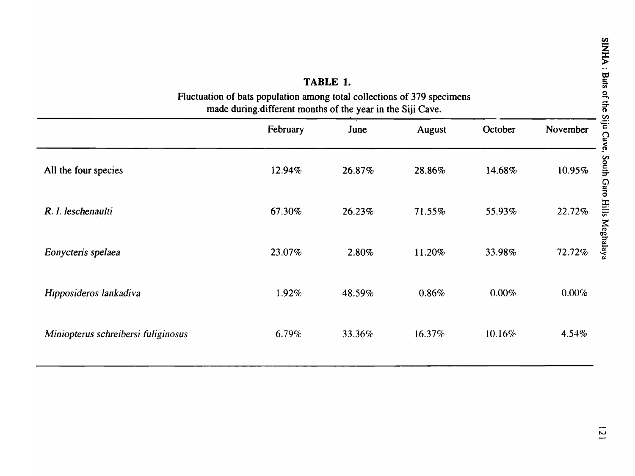| TABLE 1.<br>Fluctuation of bats population among total collections of 379 specimens<br>made during different months of the year in the Siji Cave. |          |        |               |         |          |  |  |
|---------------------------------------------------------------------------------------------------------------------------------------------------|----------|--------|---------------|---------|----------|--|--|
|                                                                                                                                                   | February | June   | <b>August</b> | October | November |  |  |
| All the four species                                                                                                                              | 12.94%   | 26.87% | 28.86%        | 14.68%  | 10.95%   |  |  |
| R. I. leschenaulti                                                                                                                                | 67.30%   | 26.23% | 71.55%        | 55.93%  | 22.72%   |  |  |
| Eonycteris spelaea                                                                                                                                | 23.07%   | 2.80%  | 11.20%        | 33.98%  | 72.72%   |  |  |
| Hipposideros lankadiva                                                                                                                            | 1.92%    | 48.59% | 0.86%         | 0.00%   | 0.00%    |  |  |
| Miniopterus schreibersi fuliginosus                                                                                                               | 6.79%    | 33.36% | 16.37%        | 10.16%  | 4.54%    |  |  |